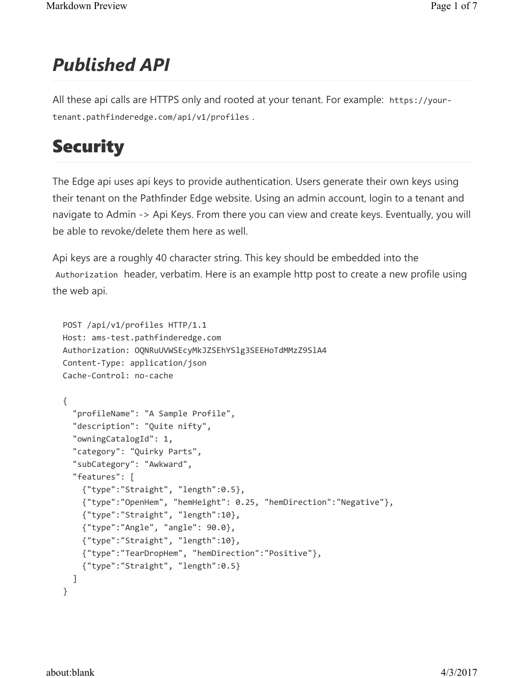### Published API

All these api calls are HTTPS only and rooted at your tenant. For example: https://yourtenant.pathfinderedge.com/api/v1/profiles .

### **Security**

The Edge api uses api keys to provide authentication. Users generate their own keys using their tenant on the Pathfinder Edge website. Using an admin account, login to a tenant and navigate to Admin -> Api Keys. From there you can view and create keys. Eventually, you will be able to revoke/delete them here as well.

Api keys are a roughly 40 character string. This key should be embedded into the Authorization header, verbatim. Here is an example http post to create a new profile using the web api.

```
POST /api/v1/profiles HTTP/1.1 
Host: ams-test.pathfinderedge.com 
Authorization: OQNRuUVWSEcyMkJZSEhYSlg3SEEHoTdMMzZ9SlA4 
Content-Type: application/json 
Cache-Control: no-cache 
{ 
   "profileName": "A Sample Profile", 
   "description": "Quite nifty", 
   "owningCatalogId": 1, 
   "category": "Quirky Parts", 
   "subCategory": "Awkward", 
   "features": [ 
     {"type":"Straight", "length":0.5}, 
     {"type":"OpenHem", "hemHeight": 0.25, "hemDirection":"Negative"}, 
     {"type":"Straight", "length":10}, 
     {"type":"Angle", "angle": 90.0}, 
     {"type":"Straight", "length":10}, 
     {"type":"TearDropHem", "hemDirection":"Positive"}, 
     {"type":"Straight", "length":0.5} 
   ] 
}
```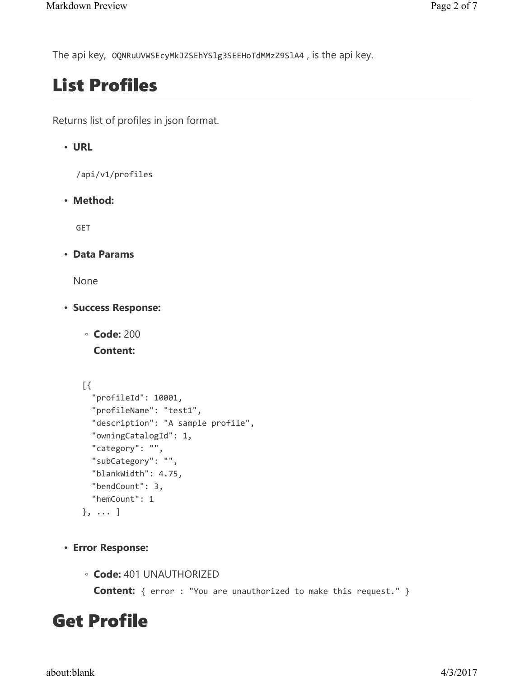The api key, OQNRuUVWSEcyMkJZSEhYSlg3SEEHoTdMMzZ9SlA4 , is the api key.

# List Profiles

Returns list of profiles in json format.

### • URL

/api/v1/profiles

• Method:

GET

• Data Params

None

- Success Response:
	- Code: 200

Content:

```
 [{ 
   "profileId": 10001, 
   "profileName": "test1", 
   "description": "A sample profile", 
   "owningCatalogId": 1, 
   "category": "", 
   "subCategory": "", 
   "blankWidth": 4.75, 
   "bendCount": 3, 
   "hemCount": 1 
 }, ... ]
```
- Error Response:
	- Code: 401 UNAUTHORIZED

**Content:** { error : "You are unauthorized to make this request." }

## Get Profile

about:blank 4/3/2017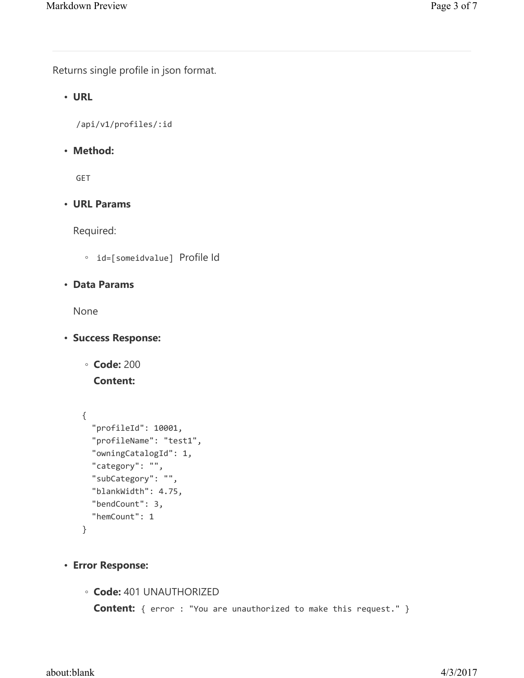Returns single profile in json format.

#### • URL

/api/v1/profiles/:id

#### • Method:

GET

#### • URL Params

Required:

◦ id=[someidvalue] Profile Id

#### • Data Params

None

• Success Response:

```
◦ Code: 200
```
Content:

```
 { 
   "profileId": 10001, 
   "profileName": "test1", 
   "owningCatalogId": 1, 
   "category": "", 
   "subCategory": "", 
   "blankWidth": 4.75, 
   "bendCount": 3, 
   "hemCount": 1 
 }
```
- Error Response:
	- Code: 401 UNAUTHORIZED

Content: { error : "You are unauthorized to make this request." }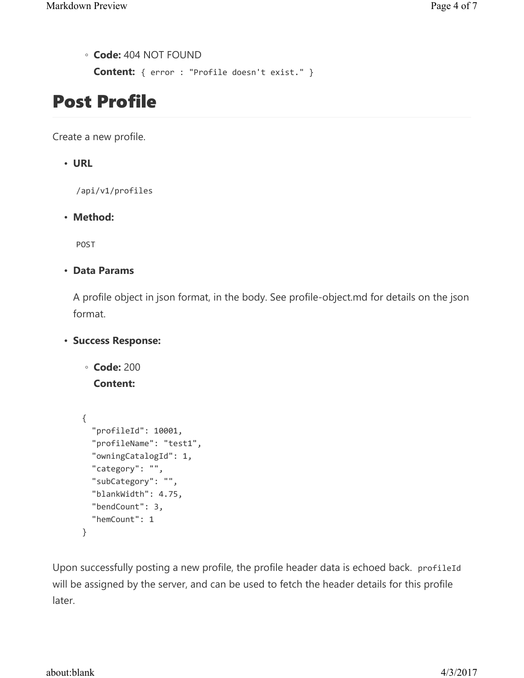◦ Code: 404 NOT FOUND

Content: { error : "Profile doesn't exist." }

### Post Profile

Create a new profile.

• URL

/api/v1/profiles

• Method:

POST

• Data Params

A profile object in json format, in the body. See profile-object.md for details on the json format.

• Success Response:

```
◦ Code: 200
```
Content:

```
 { 
   "profileId": 10001, 
   "profileName": "test1", 
   "owningCatalogId": 1, 
   "category": "", 
   "subCategory": "", 
   "blankWidth": 4.75, 
   "bendCount": 3, 
   "hemCount": 1 
 }
```
Upon successfully posting a new profile, the profile header data is echoed back. profileId will be assigned by the server, and can be used to fetch the header details for this profile later.

about:blank 4/3/2017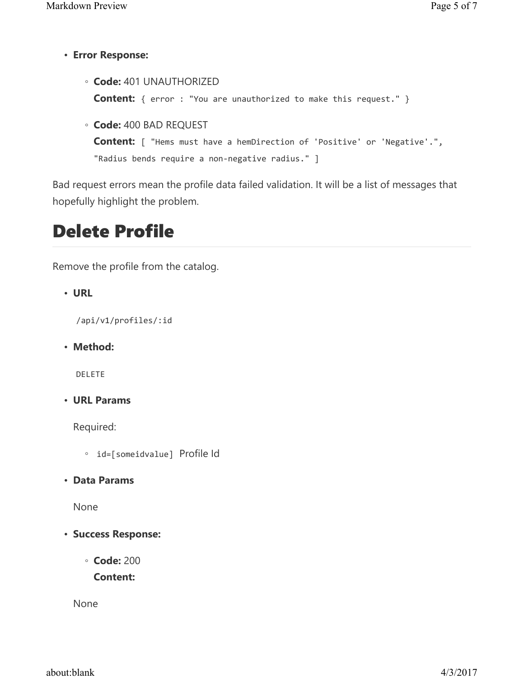- Error Response:
	- Code: 401 UNAUTHORIZED **Content:** { error : "You are unauthorized to make this request." } ◦ Code: 400 BAD REQUEST

```
Content: [ "Hems must have a hemDirection of 'Positive' or 'Negative'.", 
"Radius bends require a non-negative radius." ]
```
Bad request errors mean the profile data failed validation. It will be a list of messages that hopefully highlight the problem.

### Delete Profile

Remove the profile from the catalog.

• URL

/api/v1/profiles/:id

• Method:

DELETE

• URL Params

Required:

- id=[someidvalue] Profile Id
- Data Params

None

- Success Response:
	- Code: 200

Content:

None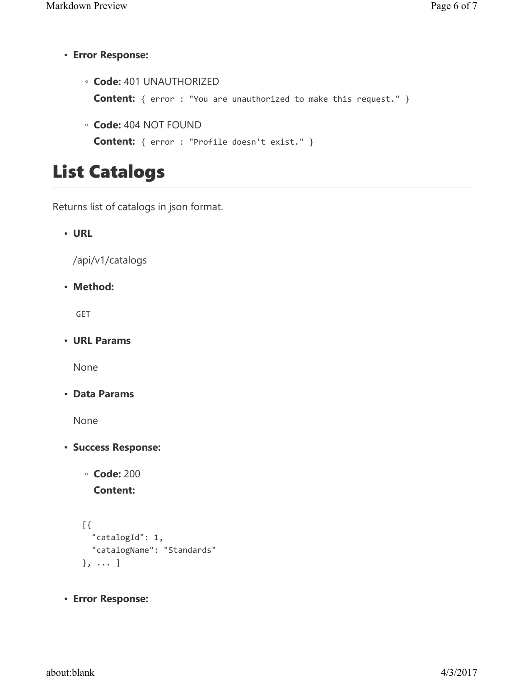• Error Response:

◦ Code: 401 UNAUTHORIZED Content: { error : "You are unauthorized to make this request." }

◦ Code: 404 NOT FOUND Content: { error : "Profile doesn't exist." }

### List Catalogs

Returns list of catalogs in json format.

• URL

/api/v1/catalogs

• Method:

GET

• URL Params

None

• Data Params

None

- Success Response:
	- Code: 200

Content:

```
 [{ 
   "catalogId": 1, 
   "catalogName": "Standards" 
 }, ... ]
```
• Error Response: